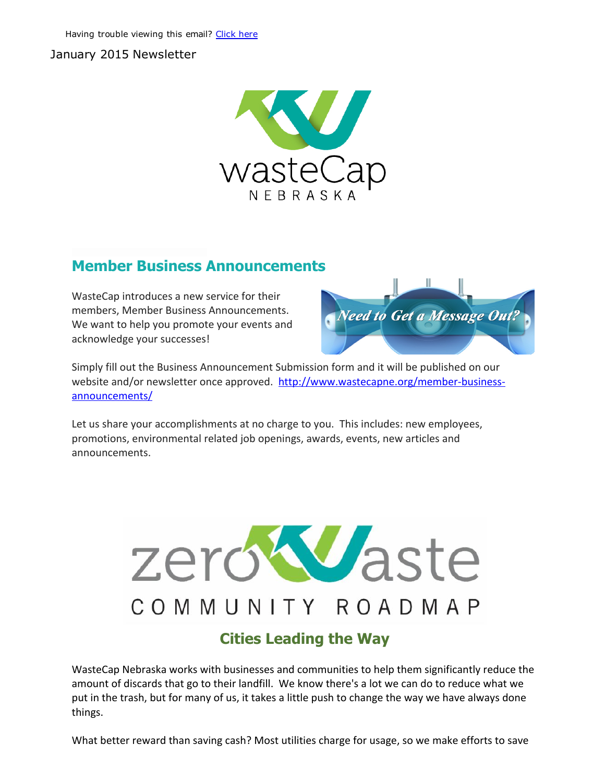#### January 2015 Newsletter



# Member Business Announcements

WasteCap introduces a new service for their members, Member Business Announcements. We want to help you promote your events and acknowledge your successes!



Simply fill out the Business Announcement Submission form and it will be published on our website and/or newsletter once approved. http://www.wastecapne.org/member-businessannouncements/

Let us share your accomplishments at no charge to you. This includes: new employees, promotions, environmental related job openings, awards, events, new articles and announcements.



# Cities Leading the Way

WasteCap Nebraska works with businesses and communities to help them significantly reduce the amount of discards that go to their landfill. We know there's a lot we can do to reduce what we put in the trash, but for many of us, it takes a little push to change the way we have always done things.

What better reward than saving cash? Most utilities charge for usage, so we make efforts to save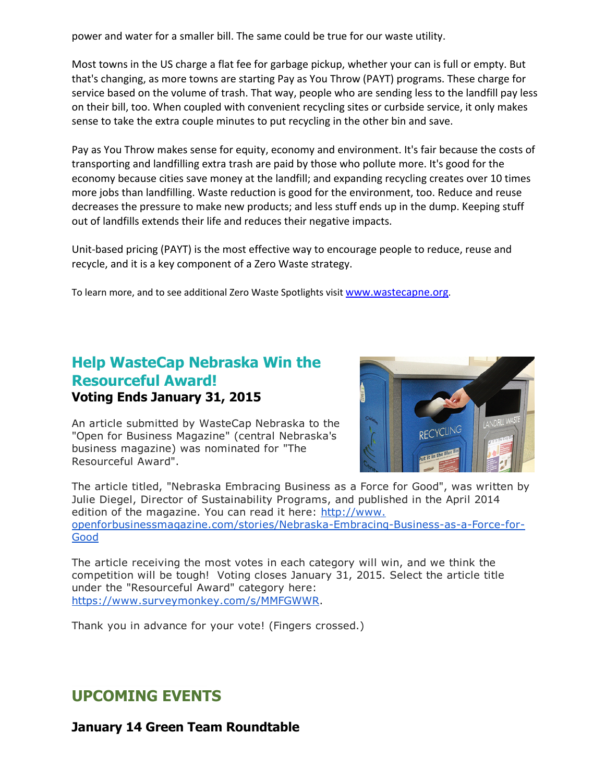power and water for a smaller bill. The same could be true for our waste utility.

Most towns in the US charge a flat fee for garbage pickup, whether your can is full or empty. But that's changing, as more towns are starting Pay as You Throw (PAYT) programs. These charge for service based on the volume of trash. That way, people who are sending less to the landfill pay less on their bill, too. When coupled with convenient recycling sites or curbside service, it only makes sense to take the extra couple minutes to put recycling in the other bin and save.

Pay as You Throw makes sense for equity, economy and environment. It's fair because the costs of transporting and landfilling extra trash are paid by those who pollute more. It's good for the economy because cities save money at the landfill; and expanding recycling creates over 10 times more jobs than landfilling. Waste reduction is good for the environment, too. Reduce and reuse decreases the pressure to make new products; and less stuff ends up in the dump. Keeping stuff out of landfills extends their life and reduces their negative impacts.

Unit-based pricing (PAYT) is the most effective way to encourage people to reduce, reuse and recycle, and it is a key component of a Zero Waste strategy.

To learn more, and to see additional Zero Waste Spotlights visit [www.wastecapne.org](http://r20.rs6.net/tn.jsp?e=001KosbGBowpvGkBhKQSxbaeZezQhiaC9fIo3AVeajlqqnlHxRcf-crM2y_-fKz6sKQPP5XXZpSYsUWkS7H00eOoEEOLs4UOVbP7g7AQsD5L5Q=).

#### Help WasteCap Nebraska Win the Resourceful Award! Voting Ends January 31, 2015

An article submitted by WasteCap Nebraska to the "Open for Business Magazine" (central Nebraska's business magazine) was nominated for "The Resourceful Award".



The article titled, "Nebraska Embracing Business as a Force for Good", was written by Julie Diegel, Director of Sustainability Programs, and published in the April 2014 edition of the magazine. You can read it here: http://www. openforbusinessmagazine.com/stories/Nebraska-Embracing-Business-as-a-Force-for-**Good** 

The article receiving the most votes in each category will win, and we think the competition will be tough! Voting closes January 31, 2015. Select the article title under the "Resourceful Award" category here: [https://www.surveymonkey.com/s/MMFGWWR.](http://r20.rs6.net/tn.jsp?e=001KosbGBowpvGkBhKQSxbaeZezQhiaC9fIo3AVeajlqqnlHxRcf-crM2y_-fKz6sKQoEdnV_GSAoJCCYOQwQ4u594nexx2qK47LrS8yXWIyB1rPWCYNBmtdbnxeEk4Q9_H)

Thank you in advance for your vote! (Fingers crossed.)

# UPCOMING EVENTS

January 14 Green Team Roundtable